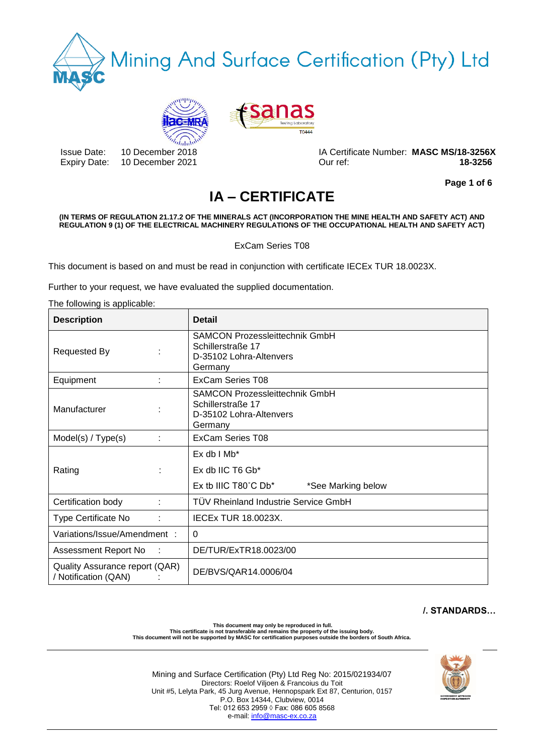





Issue Date: 10 December 2018 IA Certificate Number: **MASC MS/18-3256X** Expiry Date: 10 December 2021 Our ref: **18-3256**

**Page 1 of 6**

# **IA – CERTIFICATE**

#### **(IN TERMS OF REGULATION 21.17.2 OF THE MINERALS ACT (INCORPORATION THE MINE HEALTH AND SAFETY ACT) AND REGULATION 9 (1) OF THE ELECTRICAL MACHINERY REGULATIONS OF THE OCCUPATIONAL HEALTH AND SAFETY ACT)**

ExCam Series T08

This document is based on and must be read in conjunction with certificate IECEx TUR 18.0023X.

Further to your request, we have evaluated the supplied documentation.

The following is applicable: **Description Detail** Requested By **:** SAMCON Prozessleittechnik GmbH Schillerstraße 17 D-35102 Lohra-Altenvers Germany Equipment : ExCam Series T08 Manufacturer : SAMCON Prozessleittechnik GmbH Schillerstraße 17 D-35102 Lohra-Altenvers Germany Model(s) / Type(s) : ExCam Series T08 Rating the state of the state of the state of the state of the state of the state of the state of the state of the state of the state of the state of the state of the state of the state of the state of the state of the sta  $Fx$  db  $I$  Mb $*$ Ex db IIC T6 Gb\* Ex tb IIIC T80°C Db\* \*See Marking below Certification body : TÜV Rheinland Industrie Service GmbH Type Certificate No : | IECEx TUR 18.0023X. Variations/Issue/Amendment : 0 Assessment Report No : DE/TUR/ExTR18.0023/00 Quality Assurance report (QAR) Quality Assurance Teport (QAN)<br>/ Notification (QAN) : DE/BVS/QAR14.0006/04

# **/. STANDARDS…**

**This document may only be reproduced in full. This certificate is not transferable and remains the property of the issuing body. This document will not be supported by MASC for certification purposes outside the borders of South Africa.**

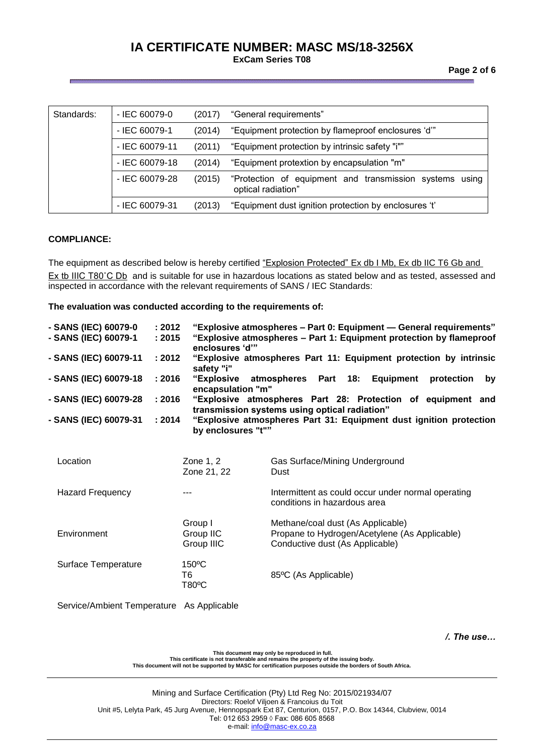| Standards: | $-$ IEC 60079-0  | (2017) | "General requirements"                                                        |
|------------|------------------|--------|-------------------------------------------------------------------------------|
|            | - IEC 60079-1    | (2014) | "Equipment protection by flameproof enclosures 'd"                            |
|            | - IEC 60079-11   | (2011) | "Equipment protection by intrinsic safety "i""                                |
|            | $-$ IEC 60079-18 | (2014) | "Equipment protextion by encapsulation "m"                                    |
|            | - IEC 60079-28   | (2015) | "Protection of equipment and transmission systems using<br>optical radiation" |
|            | - IEC 60079-31   | (2013) | "Equipment dust ignition protection by enclosures 't'                         |

#### **COMPLIANCE:**

The equipment as described below is hereby certified "Explosion Protected" Ex db I Mb, Ex db IIC T6 Gb and Ex tb IIIC T80°C Db and is suitable for use in hazardous locations as stated below and as tested, assessed and inspected in accordance with the relevant requirements of SANS / IEC Standards:

**The evaluation was conducted according to the requirements of:** 

| - SANS (IEC) 60079-0<br>- SANS (IEC) 60079-1 | : 2012<br>: 2015 | enclosures 'd'"                        | "Explosive atmospheres - Part 0: Equipment - General requirements"<br>"Explosive atmospheres - Part 1: Equipment protection by flameproof |
|----------------------------------------------|------------------|----------------------------------------|-------------------------------------------------------------------------------------------------------------------------------------------|
| - SANS (IEC) 60079-11                        | : 2012           | safety "i"                             | "Explosive atmospheres Part 11: Equipment protection by intrinsic                                                                         |
| - SANS (IEC) 60079-18                        | : 2016           | <b>"Explosive</b><br>encapsulation "m" | atmospheres Part 18: Equipment<br>protection<br>by                                                                                        |
| - SANS (IEC) 60079-28                        | : 2016           |                                        | "Explosive atmospheres Part 28: Protection of equipment and<br>transmission systems using optical radiation"                              |
| - SANS (IEC) 60079-31                        | : 2014           | by enclosures "t""                     | "Explosive atmospheres Part 31: Equipment dust ignition protection                                                                        |
| Location                                     |                  | Zone 1, 2<br>Zone 21, 22               | Gas Surface/Mining Underground<br>Dust                                                                                                    |
| <b>Hazard Frequency</b>                      |                  |                                        | Intermittent as could occur under normal operating<br>conditions in hazardous area                                                        |
| Environment                                  |                  | Group I<br>Group IIC<br>Group IIIC     | Methane/coal dust (As Applicable)<br>Propane to Hydrogen/Acetylene (As Applicable)<br>Conductive dust (As Applicable)                     |
| Surface Temperature                          |                  | 150°C<br>T6<br>T80°C                   | 85°C (As Applicable)                                                                                                                      |
|                                              |                  |                                        |                                                                                                                                           |

Service/Ambient Temperature As Applicable

*/. The use…*

This document may only be reproduced in full.<br>This certificate is not transferable and remains the property of the issuing body.<br>This document will not be supported by MASC for certification purposes outside the borders of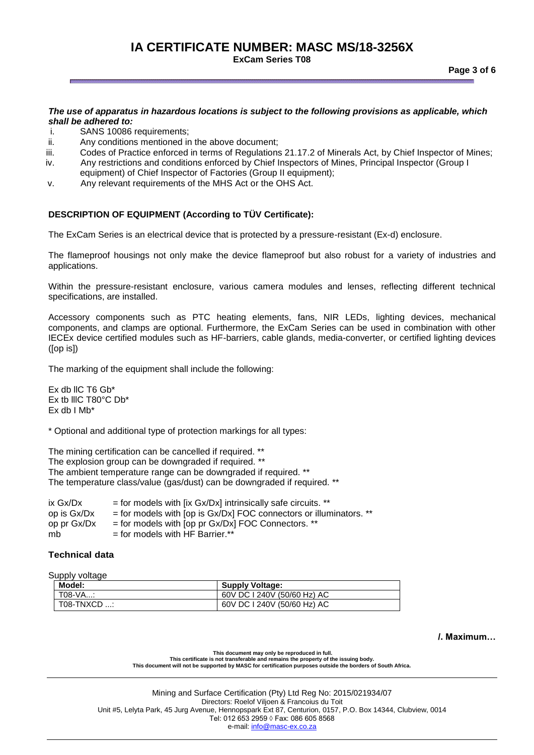#### *The use of apparatus in hazardous locations is subject to the following provisions as applicable, which shall be adhered to:*

- i. SANS 10086 requirements;
- ii. Any conditions mentioned in the above document;
- iii. Codes of Practice enforced in terms of Regulations 21.17.2 of Minerals Act, by Chief Inspector of Mines;
- iv. Any restrictions and conditions enforced by Chief Inspectors of Mines, Principal Inspector (Group I equipment) of Chief Inspector of Factories (Group II equipment);
- v. Any relevant requirements of the MHS Act or the OHS Act.

### **DESCRIPTION OF EQUIPMENT (According to TÜV Certificate):**

The ExCam Series is an electrical device that is protected by a pressure-resistant (Ex-d) enclosure.

The flameproof housings not only make the device flameproof but also robust for a variety of industries and applications.

Within the pressure-resistant enclosure, various camera modules and lenses, reflecting different technical specifications, are installed.

Accessory components such as PTC heating elements, fans, NIR LEDs, lighting devices, mechanical components, and clamps are optional. Furthermore, the ExCam Series can be used in combination with other IECEx device certified modules such as HF-barriers, cable glands, media-converter, or certified lighting devices ([op is])

The marking of the equipment shall include the following:

Ex db llC T6 Gb\* Ex tb lllC T80°C Db\* Ex db  $I$  Mb<sup>\*</sup>

\* Optional and additional type of protection markings for all types:

The mining certification can be cancelled if required. \*\* The explosion group can be downgraded if required. \*\* The ambient temperature range can be downgraded if required. \*\* The temperature class/value (gas/dust) can be downgraded if required. \*\*

| ix Gx/Dx    | $=$ for models with [ix Gx/Dx] intrinsically safe circuits. **       |
|-------------|----------------------------------------------------------------------|
| op is Gx/Dx | $=$ for models with [op is Gx/Dx] FOC connectors or illuminators. ** |
| op pr Gx/Dx | $=$ for models with [op pr Gx/Dx] FOC Connectors. **                 |
| mb          | $=$ for models with HF Barrier.**                                    |
|             |                                                                      |

### **Technical data**

Supply voltage

| Model:      | <b>Supply Voltage:</b>      |
|-------------|-----------------------------|
| T08-VA:     | 60V DC 1240V (50/60 Hz) AC  |
| T08-TNXCD : | 60V DC I 240V (50/60 Hz) AC |

**/. Maximum…**

**This document may only be reproduced in full. This certificate is not transferable and remains the property of the issuing body. This document will not be supported by MASC for certification purposes outside the borders of South Africa.**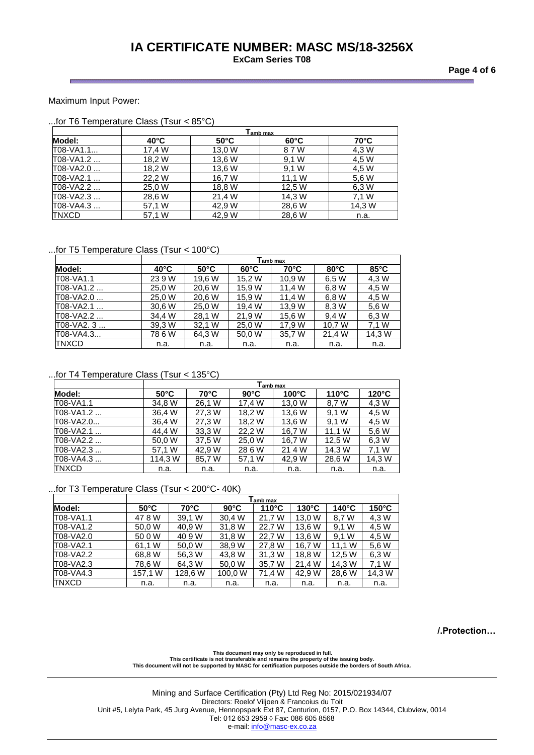**Page 4 of 6**

#### Maximum Input Power:

|              | <b>Tamb max</b> |                |                |                |  |  |
|--------------|-----------------|----------------|----------------|----------------|--|--|
| Model:       | $40^{\circ}$ C  | $50^{\circ}$ C | $60^{\circ}$ C | $70^{\circ}$ C |  |  |
| T08-VA1.1    | 17,4 W          | 13,0 W         | 8 7 W          | 4,3 W          |  |  |
| T08-VA1.2    | 18,2 W          | 13,6 W         | 9.1 W          | 4,5 W          |  |  |
| T08-VA2.0    | 18,2 W          | 13,6 W         | 9.1 W          | 4,5 W          |  |  |
| T08-VA2.1    | 22,2 W          | 16,7 W         | 11,1 W         | 5,6 W          |  |  |
| T08-VA2.2    | 25,0 W          | 18,8 W         | 12,5 W         | 6,3 W          |  |  |
| T08-VA2.3    | 28,6 W          | 21,4 W         | 14,3 W         | 7,1 W          |  |  |
| T08-VA4.3    | 57,1 W          | 42.9 W         | 28,6 W         | 14,3 W         |  |  |
| <b>TNXCD</b> | 57,1 W          | 42.9 W         | 28,6 W         | n.a.           |  |  |

#### ...for T5 Temperature Class (Tsur < 100°C)

|              |                |                |                | $\mathsf{T}_{\mathsf{amb\ max}}$ |                |                |
|--------------|----------------|----------------|----------------|----------------------------------|----------------|----------------|
| Model:       | $40^{\circ}$ C | $50^{\circ}$ C | $60^{\circ}$ C | 70°C                             | $80^{\circ}$ C | $85^{\circ}$ C |
| T08-VA1.1    | 23 9 W         | 19.6 W         | 15.2 W         | 10.9 W                           | 6.5 W          | 4.3 W          |
| T08-VA1.2    | 25.0 W         | 20,6 W         | 15.9 W         | 11.4 W                           | 6.8 W          | 4,5 W          |
| T08-VA2.0    | 25,0 W         | 20,6 W         | 15,9 W         | 11.4 W                           | 6.8 W          | 4,5 W          |
| T08-VA2.1    | 30.6 W         | 25.0 W         | 19.4 W         | 13.9 W                           | 8.3 W          | 5.6 W          |
| T08-VA2.2    | 34.4 W         | 28,1 W         | 21,9 W         | 15.6 W                           | 9.4 W          | 6.3 W          |
| T08-VA2. 3   | 39,3 W         | 32,1 W         | 25,0 W         | 17.9 W                           | 10.7 W         | 7.1 W          |
| T08-VA4.3    | 786W           | 64,3 W         | 50,0 W         | 35,7 W                           | 21,4 W         | 14,3 W         |
| <b>TNXCD</b> | n.a.           | n.a.           | n.a.           | n.a.                             | n.a.           | n.a.           |

### ...for T4 Temperature Class (Tsur < 135°C)

|           |                |                | T <sub>amb max</sub> |                 |                 |                 |
|-----------|----------------|----------------|----------------------|-----------------|-----------------|-----------------|
| Model:    | $50^{\circ}$ C | $70^{\circ}$ C | $90^{\circ}$ C       | $100^{\circ}$ C | $110^{\circ}$ C | $120^{\circ}$ C |
| T08-VA1.1 | 34.8 W         | 26.1 W         | 17.4 W               | 13.0 W          | 8,7 W           | 4,3 W           |
| T08-VA1.2 | 36,4 W         | 27,3 W         | 18,2 W               | 13,6 W          | 9.1 W           | 4,5 W           |
| T08-VA2.0 | 36,4 W         | 27.3 W         | 18,2 W               | 13,6 W          | 9.1 W           | 4.5 W           |
| T08-VA2.1 | 44.4 W         | 33.3 W         | 22.2 W               | 16.7 W          | 11.1 W          | 5.6 W           |
| T08-VA2.2 | 50,0 W         | 37.5 W         | 25,0 W               | 16.7 W          | 12.5 W          | 6.3 W           |
| T08-VA2.3 | 57,1 W         | 42.9 W         | 28 6 W               | 21 4 W          | 14.3 W          | 7.1 W           |
| T08-VA4.3 | 114.3 W        | 85,7 W         | 57,1 W               | 42.9 W          | 28,6 W          | 14,3 W          |
| TNXCD     | n.a.           | n.a.           | n.a.                 | n.a.            | n.a.            | n.a.            |

#### ...for T3 Temperature Class (Tsur < 200°C- 40K)

|              |                |         |                | <b>Tamb max</b> |                 |                 |                 |
|--------------|----------------|---------|----------------|-----------------|-----------------|-----------------|-----------------|
| Model:       | $50^{\circ}$ C | 70°C    | $90^{\circ}$ C | $110^{\circ}$ C | $130^{\circ}$ C | $140^{\circ}$ C | $150^{\circ}$ C |
| T08-VA1.1    | 478W           | 39.1 W  | 30.4 W         | 21.7 W          | 13.0 W          | 8.7 W           | 4.3 W           |
| T08-VA1.2    | 50.0 W         | 40.9 W  | 31.8 W         | 22.7 W          | 13.6 W          | 9.1 W           | 4,5 W           |
| T08-VA2.0    | 50 0 W         | 40 9 W  | 31,8 W         | 22.7 W          | 13.6 W          | 9.1 W           | 4.5 W           |
| T08-VA2.1    | 61,1 W         | 50.0 W  | 38,9 W         | 27,8 W          | 16,7 W          | 11,1 W          | 5,6 W           |
| T08-VA2.2    | 68.8 W         | 56,3 W  | 43.8 W         | 31,3 W          | 18,8 W          | 12,5 W          | 6,3 W           |
| T08-VA2.3    | 78,6 W         | 64,3 W  | 50.0 W         | 35,7 W          | 21.4 W          | 14.3 W          | 7.1 W           |
| T08-VA4.3    | 157,1 W        | 128,6 W | 100,0 W        | 71,4 W          | 42,9 W          | 28,6 W          | 14,3 W          |
| <b>TNXCD</b> | n.a.           | n.a.    | n.a.           | n.a.            | n.a.            | n.a.            | n.a.            |

**/.Protection…**

This document may only be reproduced in full.<br>This certificate is not transferable and remains the property of the issuing body.<br>This document will not be supported by MASC for certification purposes outside the borders of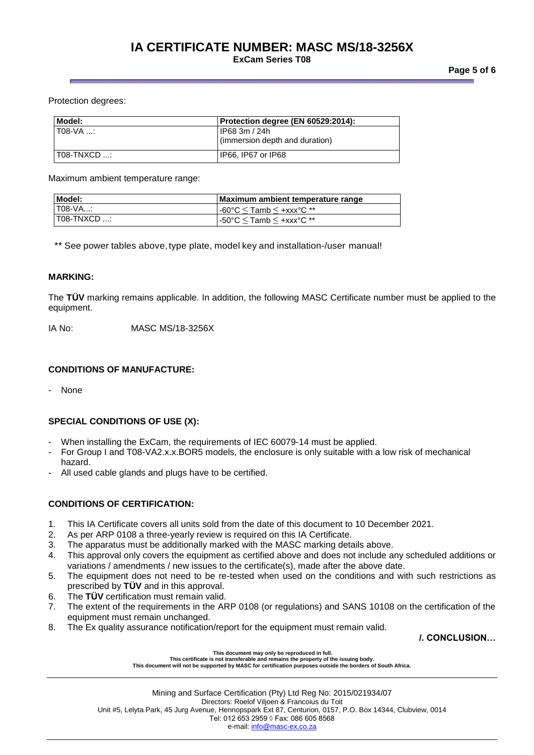#### **Page 5 of 6**

#### Protection degrees:

| Model:          | Protection degree (EN 60529:2014):              |
|-----------------|-------------------------------------------------|
| I T08-VA :      | IP68 3m / 24h<br>(immersion depth and duration) |
| $1$ T08-TNXCD : | IP66. IP67 or IP68                              |

Maximum ambient temperature range:

| Model:          | Maximum ambient temperature range          |
|-----------------|--------------------------------------------|
| $T08-VA$        | $\cdot$ -60°C $\leq$ Tamb $\leq$ +xxx°C ** |
| $1$ T08-TNXCD : | l -50°C $\le$ Tamb $\le$ +xxx°C **         |

\*\* See power tables above, type plate, model key and installation-/user manual!

#### **MARKING:**

The **TÜV** marking remains applicable. In addition, the following MASC Certificate number must be applied to the equipment.

IA No: MASC MS/18-3256X

### **CONDITIONS OF MANUFACTURE:**

**None** 

### **SPECIAL CONDITIONS OF USE (X):**

- When installing the ExCam, the requirements of IEC 60079-14 must be applied.
- For Group I and T08-VA2.x.x.BOR5 models, the enclosure is only suitable with a low risk of mechanical hazard.
- All used cable glands and plugs have to be certified.

### **CONDITIONS OF CERTIFICATION:**

- 1. This IA Certificate covers all units sold from the date of this document to 10 December 2021.
- 2. As per ARP 0108 a three-yearly review is required on this IA Certificate.
- 3. The apparatus must be additionally marked with the MASC marking details above.
- 4. This approval only covers the equipment as certified above and does not include any scheduled additions or variations / amendments / new issues to the certificate(s), made after the above date.
- 5. The equipment does not need to be re-tested when used on the conditions and with such restrictions as prescribed by **TÜV** and in this approval.
- 6. The **TÜV** certification must remain valid.
- 7. The extent of the requirements in the ARP 0108 (or regulations) and SANS 10108 on the certification of the equipment must remain unchanged.
- 8. The Ex quality assurance notification/report for the equipment must remain valid.

**/. CONCLUSION…**

#### **This document may only be reproduced in full.**

**This certificate is not transferable and remains the property of the issuing body. This document will not be supported by MASC for certification purposes outside the borders of South Africa.**